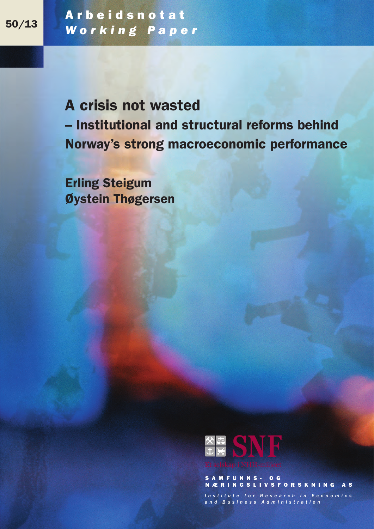Arbeidsnotat *Working Paper* 50/13

> A crisis not wasted – Institutional and structural reforms behind Norway's strong macroeconomic performance

Erling Steigum Øystein Thøgersen



SAMFUNNS- OG NÆRINGSLIVSFORSKNING AS

Institute for Research in Economics and Business Administration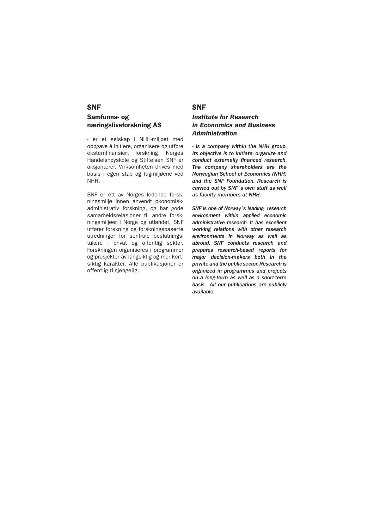## SNF Samfunns- og næringslivsforskning AS

- er et selskap i NHH-miljøet med oppgave å initiere, organisere og utføre eksternfinansiert forskning. Norges Handelshøyskole og Stiftelsen SNF er aksjonærer. Virksomheten drives med basis i egen stab og fagmiljøene ved NHH.

SNF er ett av Norges ledende forskningsmiljø innen anvendt økonomiskadministrativ forskning, og har gode samarbeidsrelasjoner til andre forskningsmiljøer i Norge og utlandet. SNF utfører forskning og forskningsbaserte utredninger for sentrale beslutningstakere i privat og offentlig sektor. Forskningen organiseres i programmer og prosjekter av langsiktig og mer kortsiktig karakter. Alle publikasjoner er offentlig tilgjengelig.

## SNF

## *Institute for Research in Economics and Business Administration*

*- is a company within the NHH group. Its objective is to initiate, organize and conduct externally financed research. The company shareholders are the Norwegian School of Economics (NHH) and the SNF Foundation. Research is carried out by SNF´s own staff as well as faculty members at NHH.*

*SNF is one of Norway´s leading research environment within applied economic administrative research. It has excellent working relations with other research environments in Norway as well as abroad. SNF conducts research and prepares research-based reports for major decision-makers both in the private and the public sector. Research is organized in programmes and projects on a long-term as well as a short-term basis. All our publications are publicly available.*